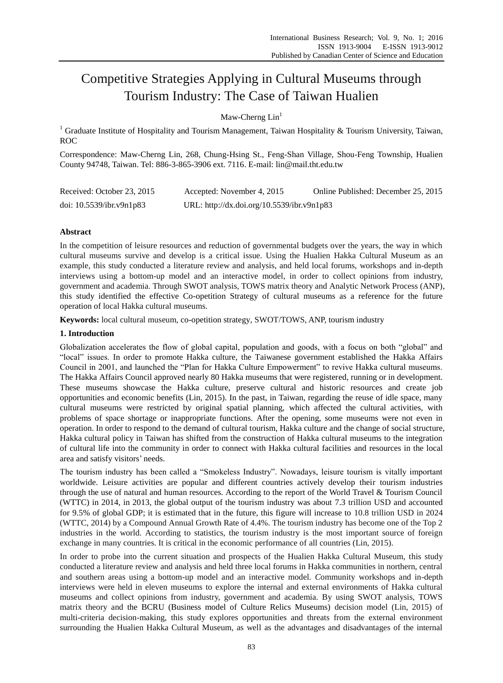# Competitive Strategies Applying in Cultural Museums through Tourism Industry: The Case of Taiwan Hualien

Maw-Cherng  $Lin<sup>1</sup>$ 

<sup>1</sup> Graduate Institute of Hospitality and Tourism Management, Taiwan Hospitality & Tourism University, Taiwan, ROC

Correspondence: Maw-Cherng Lin, 268, Chung-Hsing St., Feng-Shan Village, Shou-Feng Township, Hualien County 94748, Taiwan. Tel: 886-3-865-3906 ext. 7116. E-mail: lin@mail.tht.edu.tw

| Received: October 23, 2015  | Online Published: December 25, 2015<br>Accepted: November 4, 2015 |  |  |  |
|-----------------------------|-------------------------------------------------------------------|--|--|--|
| doi: $10.5539$ /ibr.v9n1p83 | URL: http://dx.doi.org/10.5539/ibr.v9n1p83                        |  |  |  |

# **Abstract**

In the competition of leisure resources and reduction of governmental budgets over the years, the way in which cultural museums survive and develop is a critical issue. Using the Hualien Hakka Cultural Museum as an example, this study conducted a literature review and analysis, and held local forums, workshops and in-depth interviews using a bottom-up model and an interactive model, in order to collect opinions from industry, government and academia. Through SWOT analysis, TOWS matrix theory and Analytic Network Process (ANP), this study identified the effective Co-opetition Strategy of cultural museums as a reference for the future operation of local Hakka cultural museums.

**Keywords:** local cultural museum, co-opetition strategy, SWOT/TOWS, ANP, tourism industry

## **1. Introduction**

Globalization accelerates the flow of global capital, population and goods, with a focus on both "global" and "local" issues. In order to promote Hakka culture, the Taiwanese government established the Hakka Affairs Council in 2001, and launched the "Plan for Hakka Culture Empowerment" to revive Hakka cultural museums. The Hakka Affairs Council approved nearly 80 Hakka museums that were registered, running or in development. These museums showcase the Hakka culture, preserve cultural and historic resources and create job opportunities and economic benefits (Lin, 2015). In the past, in Taiwan, regarding the reuse of idle space, many cultural museums were restricted by original spatial planning, which affected the cultural activities, with problems of space shortage or inappropriate functions. After the opening, some museums were not even in operation. In order to respond to the demand of cultural tourism, Hakka culture and the change of social structure, Hakka cultural policy in Taiwan has shifted from the construction of Hakka cultural museums to the integration of cultural life into the community in order to connect with Hakka cultural facilities and resources in the local area and satisfy visitors' needs.

The tourism industry has been called a "Smokeless Industry". Nowadays, leisure tourism is vitally important worldwide. Leisure activities are popular and different countries actively develop their tourism industries through the use of natural and human resources. According to the report of the World Travel & Tourism Council (WTTC) in 2014, in 2013, the global output of the tourism industry was about 7.3 trillion USD and accounted for 9.5% of global GDP; it is estimated that in the future, this figure will increase to 10.8 trillion USD in 2024 (WTTC, 2014) by a Compound Annual Growth Rate of 4.4%. The tourism industry has become one of the Top 2 industries in the world. According to statistics, the tourism industry is the most important source of foreign exchange in many countries. It is critical in the economic performance of all countries (Lin, 2015).

In order to probe into the current situation and prospects of the Hualien Hakka Cultural Museum, this study conducted a literature review and analysis and held three local forums in Hakka communities in northern, central and southern areas using a bottom-up model and an interactive model*. C*ommunity workshops and in-depth interviews were held in eleven museums to explore the internal and external environments of Hakka cultural museums and collect opinions from industry, government and academia. By using SWOT analysis, TOWS matrix theory and the BCRU (Business model of Culture Relics Museums) decision model (Lin, 2015) of multi-criteria decision-making, this study explores opportunities and threats from the external environment surrounding the Hualien Hakka Cultural Museum, as well as the advantages and disadvantages of the internal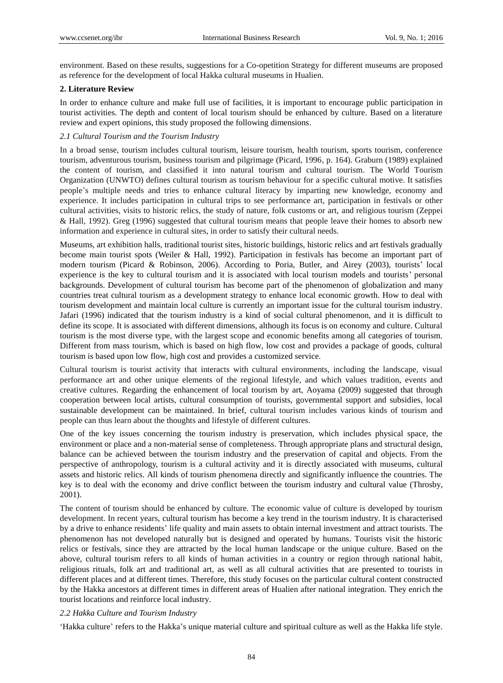environment. Based on these results, suggestions for a Co-opetition Strategy for different museums are proposed as reference for the development of local Hakka cultural museums in Hualien.

## **2. Literature Review**

In order to enhance culture and make full use of facilities, it is important to encourage public participation in tourist activities. The depth and content of local tourism should be enhanced by culture. Based on a literature review and expert opinions, this study proposed the following dimensions.

## *2.1 Cultural Tourism and the Tourism Industry*

In a broad sense, tourism includes cultural tourism, leisure tourism, health tourism, sports tourism, conference tourism, adventurous tourism, business tourism and pilgrimage (Picard, 1996, p. 164). Graburn (1989) explained the content of tourism, and classified it into natural tourism and cultural tourism. The World Tourism Organization (UNWTO) defines cultural tourism as tourism behaviour for a specific cultural motive. It satisfies people's multiple needs and tries to enhance cultural literacy by imparting new knowledge, economy and experience. It includes participation in cultural trips to see performance art, participation in festivals or other cultural activities, visits to historic relics, the study of nature, folk customs or art, and religious tourism (Zeppei & Hall, 1992). Greg (1996) suggested that cultural tourism means that people leave their homes to absorb new information and experience in cultural sites, in order to satisfy their cultural needs.

Museums, art exhibition halls, traditional tourist sites, historic buildings, historic relics and art festivals gradually become main tourist spots (Weiler & Hall, 1992). Participation in festivals has become an important part of modern tourism (Picard & Robinson, 2006). According to Poria, Butler, and Airey (2003), tourists' local experience is the key to cultural tourism and it is associated with local tourism models and tourists' personal backgrounds. Development of cultural tourism has become part of the phenomenon of globalization and many countries treat cultural tourism as a development strategy to enhance local economic growth. How to deal with tourism development and maintain local culture is currently an important issue for the cultural tourism industry. Jafari (1996) indicated that the tourism industry is a kind of social cultural phenomenon, and it is difficult to define its scope. It is associated with different dimensions, although its focus is on economy and culture. Cultural tourism is the most diverse type, with the largest scope and economic benefits among all categories of tourism. Different from mass tourism, which is based on high flow, low cost and provides a package of goods, cultural tourism is based upon low flow, high cost and provides a customized service.

Cultural tourism is tourist activity that interacts with cultural environments, including the landscape, visual performance art and other unique elements of the regional lifestyle, and which values tradition, events and creative cultures. Regarding the enhancement of local tourism by art, Aoyama (2009) suggested that through cooperation between local artists, cultural consumption of tourists, governmental support and subsidies, local sustainable development can be maintained. In brief, cultural tourism includes various kinds of tourism and people can thus learn about the thoughts and lifestyle of different cultures.

One of the key issues concerning the tourism industry is preservation, which includes physical space, the environment or place and a non-material sense of completeness. Through appropriate plans and structural design, balance can be achieved between the tourism industry and the preservation of capital and objects. From the perspective of anthropology, tourism is a cultural activity and it is directly associated with museums, cultural assets and historic relics. All kinds of tourism phenomena directly and significantly influence the countries. The key is to deal with the economy and drive conflict between the tourism industry and cultural value (Throsby, 2001).

The content of tourism should be enhanced by culture. The economic value of culture is developed by tourism development. In recent years, cultural tourism has become a key trend in the tourism industry. It is characterised by a drive to enhance residents' life quality and main assets to obtain internal investment and attract tourists. The phenomenon has not developed naturally but is designed and operated by humans. Tourists visit the historic relics or festivals, since they are attracted by the local human landscape or the unique culture. Based on the above, cultural tourism refers to all kinds of human activities in a country or region through national habit, religious rituals, folk art and traditional art, as well as all cultural activities that are presented to tourists in different places and at different times. Therefore, this study focuses on the particular cultural content constructed by the Hakka ancestors at different times in different areas of Hualien after national integration. They enrich the tourist locations and reinforce local industry.

#### *2.2 Hakka Culture and Tourism Industry*

'Hakka culture' refers to the Hakka's unique material culture and spiritual culture as well as the Hakka life style.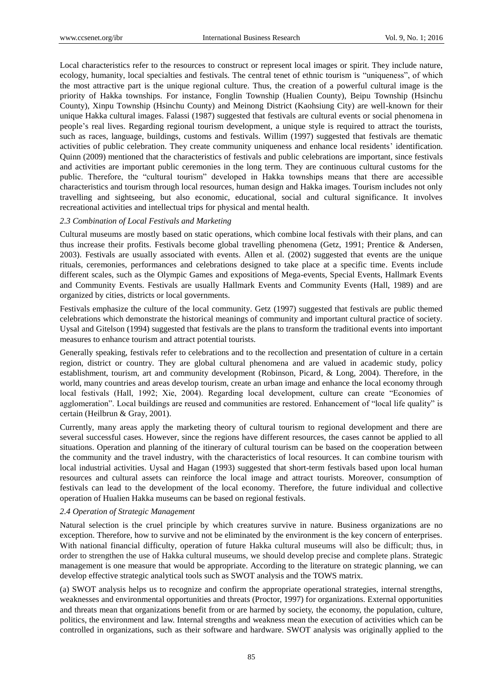Local characteristics refer to the resources to construct or represent local images or spirit. They include nature, ecology, humanity, local specialties and festivals. The central tenet of ethnic tourism is "uniqueness", of which the most attractive part is the unique regional culture. Thus, the creation of a powerful cultural image is the priority of Hakka townships. For instance, Fonglin Township (Hualien County), Beipu Township (Hsinchu County), Xinpu Township (Hsinchu County) and Meinong District (Kaohsiung City) are well-known for their unique Hakka cultural images. Falassi (1987) suggested that festivals are cultural events or social phenomena in people's real lives. Regarding regional tourism development, a unique style is required to attract the tourists, such as races, language, buildings, customs and festivals. Willim (1997) suggested that festivals are thematic activities of public celebration. They create community uniqueness and enhance local residents' identification. Quinn (2009) mentioned that the characteristics of festivals and public celebrations are important, since festivals and activities are important public ceremonies in the long term. They are continuous cultural customs for the public. Therefore, the "cultural tourism" developed in Hakka townships means that there are accessible characteristics and tourism through local resources, human design and Hakka images. Tourism includes not only travelling and sightseeing, but also economic, educational, social and cultural significance. It involves recreational activities and intellectual trips for physical and mental health.

## *2.3 Combination of Local Festivals and Marketing*

Cultural museums are mostly based on static operations, which combine local festivals with their plans, and can thus increase their profits. Festivals become global travelling phenomena (Getz, 1991; Prentice & Andersen, 2003). Festivals are usually associated with events. Allen et al. (2002) suggested that events are the unique rituals, ceremonies, performances and celebrations designed to take place at a specific time. Events include different scales, such as the Olympic Games and expositions of Mega-events, Special Events, Hallmark Events and Community Events. Festivals are usually Hallmark Events and Community Events (Hall, 1989) and are organized by cities, districts or local governments.

Festivals emphasize the culture of the local community. Getz (1997) suggested that festivals are public themed celebrations which demonstrate the historical meanings of community and important cultural practice of society. Uysal and Gitelson (1994) suggested that festivals are the plans to transform the traditional events into important measures to enhance tourism and attract potential tourists.

Generally speaking, festivals refer to celebrations and to the recollection and presentation of culture in a certain region, district or country. They are global cultural phenomena and are valued in academic study, policy establishment, tourism, art and community development (Robinson, Picard, & Long, 2004). Therefore, in the world, many countries and areas develop tourism, create an urban image and enhance the local economy through local festivals (Hall, 1992; Xie, 2004). Regarding local development, culture can create "Economies of agglomeration". Local buildings are reused and communities are restored. Enhancement of "local life quality" is certain (Heilbrun & Gray, 2001).

Currently, many areas apply the marketing theory of cultural tourism to regional development and there are several successful cases. However, since the regions have different resources, the cases cannot be applied to all situations. Operation and planning of the itinerary of cultural tourism can be based on the cooperation between the community and the travel industry, with the characteristics of local resources. It can combine tourism with local industrial activities. Uysal and Hagan (1993) suggested that short-term festivals based upon local human resources and cultural assets can reinforce the local image and attract tourists. Moreover, consumption of festivals can lead to the development of the local economy. Therefore, the future individual and collective operation of Hualien Hakka museums can be based on regional festivals.

## *2.4 Operation of Strategic Management*

Natural selection is the cruel principle by which creatures survive in nature. Business organizations are no exception. Therefore, how to survive and not be eliminated by the environment is the key concern of enterprises. With national financial difficulty, operation of future Hakka cultural museums will also be difficult; thus, in order to strengthen the use of Hakka cultural museums, we should develop precise and complete plans. Strategic management is one measure that would be appropriate. According to the literature on strategic planning, we can develop effective strategic analytical tools such as SWOT analysis and the TOWS matrix.

(a) SWOT analysis helps us to recognize and confirm the appropriate operational strategies, internal strengths, weaknesses and environmental opportunities and threats (Proctor, 1997) for organizations. External opportunities and threats mean that organizations benefit from or are harmed by society, the economy, the population, culture, politics, the environment and law. Internal strengths and weakness mean the execution of activities which can be controlled in organizations, such as their software and hardware. SWOT analysis was originally applied to the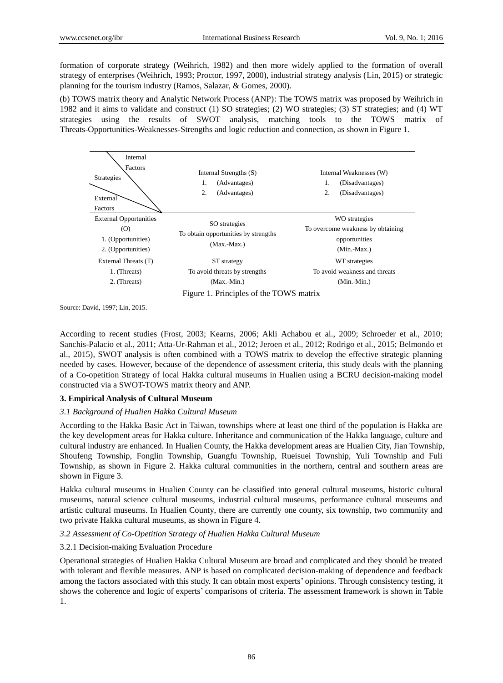formation of corporate strategy (Weihrich, 1982) and then more widely applied to the formation of overall strategy of enterprises (Weihrich, 1993; Proctor, 1997, 2000), industrial strategy analysis (Lin, 2015) or strategic planning for the tourism industry (Ramos, Salazar, & Gomes, 2000).

(b) TOWS matrix theory and Analytic Network Process (ANP): The TOWS matrix was proposed by Weihrich in 1982 and it aims to validate and construct (1) SO strategies; (2) WO strategies; (3) ST strategies; and (4) WT strategies using the results of SWOT analysis, matching tools to the TOWS matrix of Threats-Opportunities-Weaknesses-Strengths and logic reduction and connection, as shown in Figure 1.

| Internal                                                                         | Internal Strengths (S)                                                 | Internal Weaknesses (W)                                                              |
|----------------------------------------------------------------------------------|------------------------------------------------------------------------|--------------------------------------------------------------------------------------|
| Factors                                                                          | (Advantages)                                                           | (Disadvantages)                                                                      |
| <b>Strategies</b>                                                                | 1.                                                                     | 1.                                                                                   |
| External                                                                         | 2.                                                                     | 2.                                                                                   |
| Factors                                                                          | (Advantages)                                                           | (Disadvantages)                                                                      |
| <b>External Opportunities</b><br>(O)<br>1. (Opportunities)<br>2. (Opportunities) | SO strategies<br>To obtain opportunities by strengths<br>$(Max.-Max.)$ | WO strategies<br>To overcome weakness by obtaining<br>opportunities<br>$(Min.-Max.)$ |
| External Threats (T)                                                             | ST strategy                                                            | WT strategies                                                                        |
| 1. (Threats)                                                                     | To avoid threats by strengths                                          | To avoid weakness and threats                                                        |
| 2. (Threats)                                                                     | $(Max.-Min.)$                                                          | $(Min.-Min.)$                                                                        |

Figure 1. Principles of the TOWS matrix

Source: David, 1997; Lin, 2015.

According to recent studies (Frost, 2003; Kearns, 2006; Akli Achabou et al., 2009; Schroeder et al., 2010; Sanchis-Palacio et al., 2011; Atta-Ur-Rahman et al., 2012; Jeroen et al., 2012; Rodrigo et al., 2015; Belmondo et al., 2015), SWOT analysis is often combined with a TOWS matrix to develop the effective strategic planning needed by cases. However, because of the dependence of assessment criteria, this study deals with the planning of a Co-opetition Strategy of local Hakka cultural museums in Hualien using a BCRU decision-making model constructed via a SWOT-TOWS matrix theory and ANP.

## **3. Empirical Analysis of Cultural Museum**

## *3.1 Background of Hualien Hakka Cultural Museum*

According to the Hakka Basic Act in Taiwan, townships where at least one third of the population is Hakka are the key development areas for Hakka culture. Inheritance and communication of the Hakka language, culture and cultural industry are enhanced. In Hualien County, the Hakka development areas are Hualien City, Jian Township, Shoufeng Township, Fonglin Township, Guangfu Township, Rueisuei Township, Yuli Township and Fuli Township, as shown in Figure 2. Hakka cultural communities in the northern, central and southern areas are shown in Figure 3.

Hakka cultural museums in Hualien County can be classified into general cultural museums, historic cultural museums, natural science cultural museums, industrial cultural museums, performance cultural museums and artistic cultural museums. In Hualien County, there are currently one county, six township, two community and two private Hakka cultural museums, as shown in Figure 4.

## *3.2 Assessment of Co-Opetition Strategy of Hualien Hakka Cultural Museum*

## 3.2.1 Decision-making Evaluation Procedure

Operational strategies of Hualien Hakka Cultural Museum are broad and complicated and they should be treated with tolerant and flexible measures. ANP is based on complicated decision-making of dependence and feedback among the factors associated with this study. It can obtain most experts' opinions. Through consistency testing, it shows the coherence and logic of experts' comparisons of criteria. The assessment framework is shown in Table 1.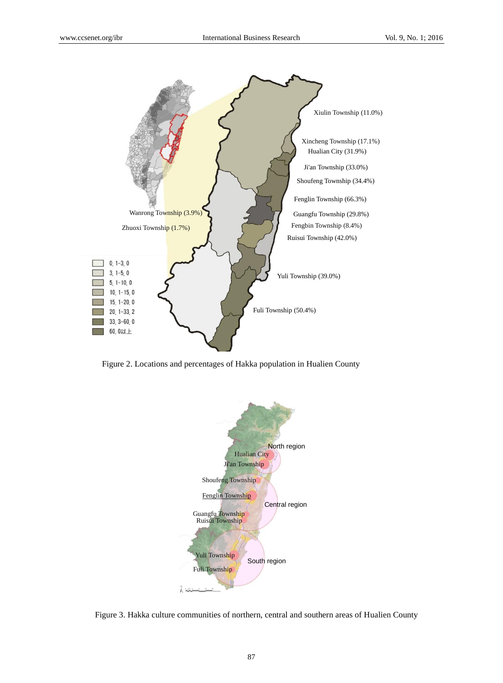

Figure 2. Locations and percentages of Hakka population in Hualien County



Figure 3. Hakka culture communities of northern, central and southern areas of Hualien County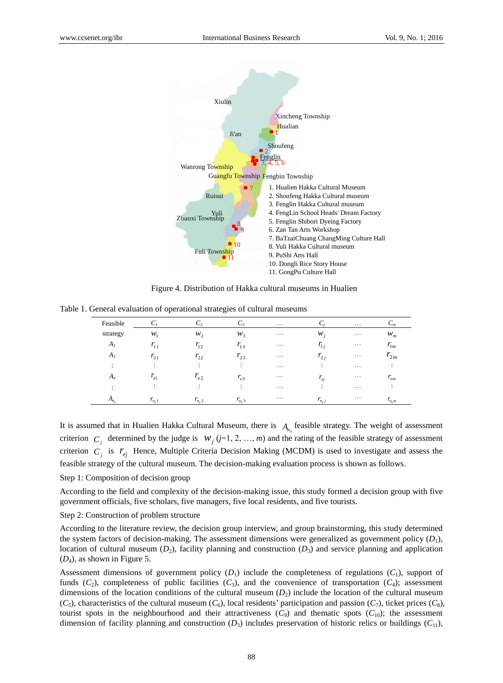

Figure 4. Distribution of Hakka cultural museums in Hualien

| Feasible       |                        | ပေး          | $C_3$       | .                 |             | $\cdots$ | $C_m$       |
|----------------|------------------------|--------------|-------------|-------------------|-------------|----------|-------------|
| strategy       | $W_1$                  | $W_{\gamma}$ | $W_3$       | $\cdots$          | $W_{\cdot}$ | $\cdots$ | $W_m$       |
| A <sub>1</sub> | $r_{11}$               | $r_{12}$     | $r_{13}$    | $\cdots$          | $r_{1j}$    | $\cdots$ | $r_{1m}$    |
| A <sub>2</sub> | $r_{21}$               | $r_{22}$     | $r_{23}$    | .                 | $r_{2i}$    | $\cdots$ | $r_{2m}$    |
|                |                        |              | $\cdot$     | .                 | $\cdot$     | $\cdots$ | $\cdot$     |
| $A_e$          | $^{\prime}$ el         | $r_{e2}$     | $r_{e3}$    | $\cdots$          | $r_{ei}$    | $\cdots$ | $r_{em}$    |
|                |                        |              |             | .                 |             | $\cdots$ | ٠           |
| $A_{n_k}$      | $r_{n_k}$ <sub>1</sub> | $r_{n_k,2}$  | $r_{n_k,3}$ | $\cdot\cdot\cdot$ | $r_{n_k j}$ | $\cdots$ | $r_{n_k m}$ |

Table 1. General evaluation of operational strategies of cultural museums

It is assumed that in Hualien Hakka Cultural Museum, there is  $A_{n_k}$  feasible strategy. The weight of assessment criterion  $C_j$  determined by the judge is  $W_j$  ( $j=1, 2, ..., m$ ) and the rating of the feasible strategy of assessment criterion  $C_j$  is  $r_{ej}$  Hence, Multiple Criteria Decision Making (MCDM) is used to investigate and assess the feasible strategy of the cultural museum. The decision-making evaluation process is shown as follows.

#### Step 1: Composition of decision group

According to the field and complexity of the decision-making issue, this study formed a decision group with five government officials, five scholars, five managers, five local residents, and five tourists.

## Step 2: Construction of problem structure

According to the literature review, the decision group interview, and group brainstorming, this study determined the system factors of decision-making. The assessment dimensions were generalized as government policy  $(D_1)$ , location of cultural museum  $(D_2)$ , facility planning and construction  $(D_3)$  and service planning and application  $(D_4)$ , as shown in Figure 5.

Assessment dimensions of government policy  $(D_1)$  include the completeness of regulations  $(C_1)$ , support of funds  $(C_2)$ , completeness of public facilities  $(C_3)$ , and the convenience of transportation  $(C_4)$ ; assessment dimensions of the location conditions of the cultural museum  $(D_2)$  include the location of the cultural museum  $(C_5)$ , characteristics of the cultural museum  $(C_6)$ , local residents' participation and passion  $(C_7)$ , ticket prices  $(C_8)$ , tourist spots in the neighbourhood and their attractiveness  $(C_9)$  and thematic spots  $(C_{10})$ ; the assessment dimension of facility planning and construction  $(D_3)$  includes preservation of historic relics or buildings  $(C_{11})$ ,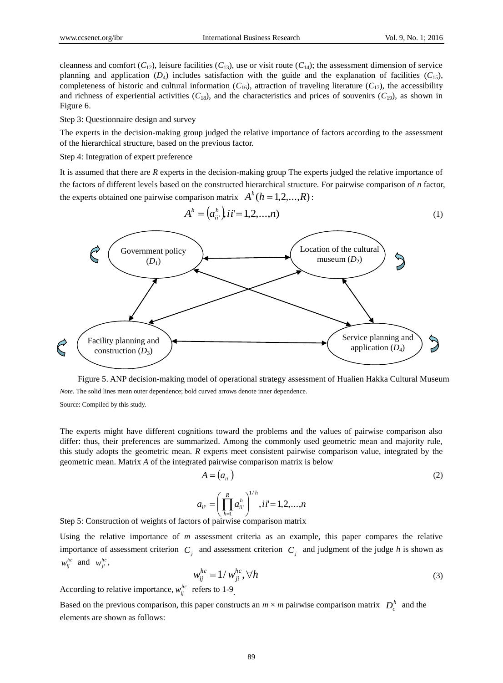cleanness and comfort  $(C_{12})$ , leisure facilities  $(C_{13})$ , use or visit route  $(C_{14})$ ; the assessment dimension of service planning and application  $(D_4)$  includes satisfaction with the guide and the explanation of facilities  $(C_{15})$ , completeness of historic and cultural information  $(C_{16})$ , attraction of traveling literature  $(C_{17})$ , the accessibility and richness of experiential activities  $(C_{18})$ , and the characteristics and prices of souvenirs  $(C_{19})$ , as shown in Figure 6.

Step 3: Questionnaire design and survey

The experts in the decision-making group judged the relative importance of factors according to the assessment of the hierarchical structure, based on the previous factor.

Step 4: Integration of expert preference

It is assumed that there are *R* experts in the decision-making group The experts judged the relative importance of the factors of different levels based on the constructed hierarchical structure. For pairwise comparison of *n* factor, the experts obtained one pairwise comparison matrix  $A^{h} (h = 1, 2, ..., R)$ :



*Note.* The solid lines mean outer dependence; bold curved arrows denote inner dependence. Figure 5. ANP decision-making model of operational strategy assessment of Hualien Hakka Cultural Museum

Source: Compiled by this study.

The experts might have different cognitions toward the problems and the values of pairwise comparison also differ: thus, their preferences are summarized. Among the commonly used geometric mean and majority rule, this study adopts the geometric mean. *R* experts meet consistent pairwise comparison value, integrated by the geometric mean. Matrix *A* of the integrated pairwise comparison matrix is below

$$
A = (a_{ii'})
$$
  
\n
$$
a_{ii'} = \left(\prod_{h=1}^{R} a_{ii'}^{h}\right)^{1/h}, ii' = 1, 2, ..., n
$$
\n(2)

Step 5: Construction of weights of factors of pairwise comparison matrix

Using the relative importance of *m* assessment criteria as an example, this paper compares the relative importance of assessment criterion  $C_j$  and assessment criterion  $C_j$  and judgment of the judge *h* is shown as  $w_{ij}^{hc}$  and  $w_{ji}^{hc}$ ,

$$
w_{ij}^{hc} = 1/w_{ji}^{hc}, \forall h
$$
 (3)

According to relative importance,  $w_{ij}^{hc}$  refers to 1-9.

Based on the previous comparison, this paper constructs an  $m \times m$  pairwise comparison matrix  $D_c^h$  and the elements are shown as follows: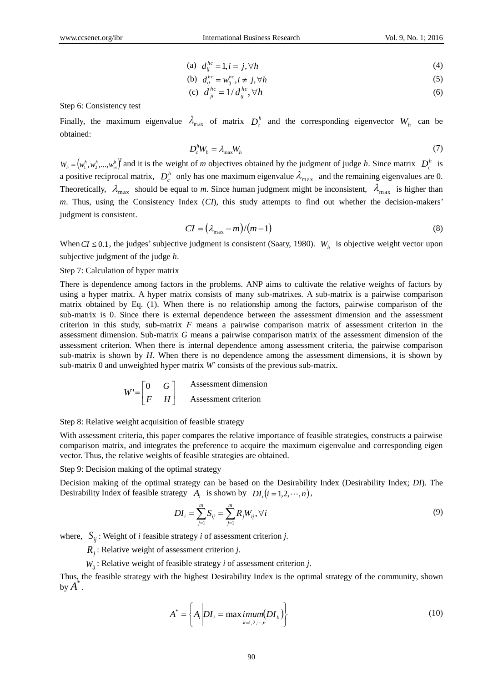$$
(a) d_{ij}^{hc} = 1, i = j, \forall h
$$

(b) 
$$
d_{ij}^{hc} = w_{ij}^{hc}, i \neq j, \forall h
$$
 (5)

$$
\text{(c)}\ \ d_{ji}^{hc} = 1/d_{ij}^{hc}, \forall h
$$

Step 6: Consistency test

Finally, the maximum eigenvalue  $\lambda_{\text{max}}$  of matrix  $D_c^h$  and the corresponding eigenvector  $W_h$  can be obtained:

$$
D_c^h W_h = \lambda_{\text{max}} W_h \tag{7}
$$

 $W_h = (w_1^h, w_2^h, ..., w_m^h)$  and it is the weight of *m* objectives obtained by the judgment of judge *h*. Since matrix  $D_c^h$  is a positive reciprocal matrix,  $D_c^h$  only has one maximum eigenvalue  $\lambda_{\text{max}}$  and the remaining eigenvalues are 0. Theoretically,  $\lambda_{\text{max}}$  should be equal to *m*. Since human judgment might be inconsistent,  $\lambda_{\text{max}}$  is higher than *m*. Thus, using the Consistency Index (*CI*), this study attempts to find out whether the decision-makers' judgment is consistent.

$$
CI = (\lambda_{\text{max}} - m)/(m - 1) \tag{8}
$$

When  $CI \leq 0.1$ , the judges' subjective judgment is consistent (Saaty, 1980).  $W_h$  is objective weight vector upon subjective judgment of the judge *h*.

## Step 7: Calculation of hyper matrix

There is dependence among factors in the problems. ANP aims to cultivate the relative weights of factors by using a hyper matrix. A hyper matrix consists of many sub-matrixes. A sub-matrix is a pairwise comparison matrix obtained by Eq. (1). When there is no relationship among the factors, pairwise comparison of the sub-matrix is 0. Since there is external dependence between the assessment dimension and the assessment criterion in this study, sub-matrix *F* means a pairwise comparison matrix of assessment criterion in the assessment dimension. Sub-matrix *G* means a pairwise comparison matrix of the assessment dimension of the assessment criterion. When there is internal dependence among assessment criteria, the pairwise comparison sub-matrix is shown by *H*. When there is no dependence among the assessment dimensions, it is shown by sub-matrix 0 and unweighted hyper matrix *W*' consists of the previous sub-matrix.

$$
W' = \begin{bmatrix} 0 & G \\ F & H \end{bmatrix}
$$
\nAssessment dimension

\nAssessment criterion

#### Step 8: Relative weight acquisition of feasible strategy

With assessment criteria, this paper compares the relative importance of feasible strategies, constructs a pairwise comparison matrix, and integrates the preference to acquire the maximum eigenvalue and corresponding eigen vector. Thus, the relative weights of feasible strategies are obtained.

Step 9: Decision making of the optimal strategy

Decision making of the optimal strategy can be based on the Desirability Index (Desirability Index; *DI*). The Desirability Index of feasible strategy  $A_i$  is shown by  $DI_i(i = 1,2,\dots,n)$ ,

$$
DI_{i} = \sum_{j=1}^{m} S_{ij} = \sum_{j=1}^{m} R_{j} W_{ij}, \forall i
$$
\n(9)

where,  $S_{ij}$ : Weight of *i* feasible strategy *i* of assessment criterion *j*.

*Rj* : Relative weight of assessment criterion *j*.

*Wij* : Relative weight of feasible strategy *i* of assessment criterion *j*.

Thus, the feasible strategy with the highest Desirability Index is the optimal strategy of the community, shown by  $\overline{A}^*$  .

$$
A^* = \left\{ A_i \middle| DI_i = \max_i \text{imum}(DI_k) \right\}
$$
 (10)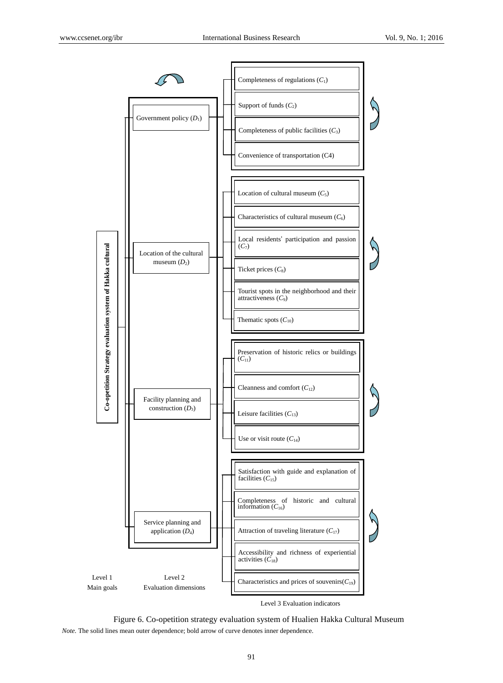

Level 3 Evaluation indicators

*Note.* The solid lines mean outer dependence; bold arrow of curve denotes inner dependence. Figure 6. Co-opetition strategy evaluation system of Hualien Hakka Cultural Museum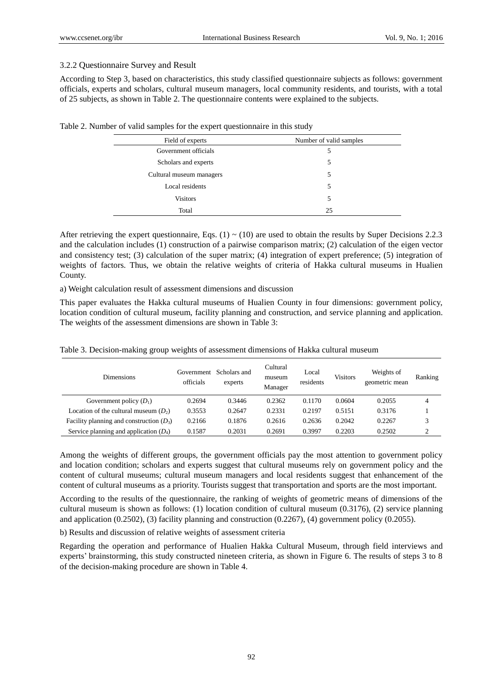# 3.2.2 Questionnaire Survey and Result

According to Step 3, based on characteristics, this study classified questionnaire subjects as follows: government officials, experts and scholars, cultural museum managers, local community residents, and tourists, with a total of 25 subjects, as shown in Table 2. The questionnaire contents were explained to the subjects.

| Table 2. Number of valid samples for the expert questionnaire in this study |  |  |  |  |  |  |  |
|-----------------------------------------------------------------------------|--|--|--|--|--|--|--|
|-----------------------------------------------------------------------------|--|--|--|--|--|--|--|

| Field of experts         | Number of valid samples |
|--------------------------|-------------------------|
| Government officials     | 5                       |
| Scholars and experts     | 5                       |
| Cultural museum managers | 5                       |
| Local residents          | 5                       |
| <b>Visitors</b>          | 5                       |
| Total                    | 25                      |

After retrieving the expert questionnaire, Eqs.  $(1) \sim (10)$  are used to obtain the results by Super Decisions 2.2.3 and the calculation includes (1) construction of a pairwise comparison matrix; (2) calculation of the eigen vector and consistency test; (3) calculation of the super matrix; (4) integration of expert preference; (5) integration of weights of factors. Thus, we obtain the relative weights of criteria of Hakka cultural museums in Hualien County.

a) Weight calculation result of assessment dimensions and discussion

This paper evaluates the Hakka cultural museums of Hualien County in four dimensions: government policy, location condition of cultural museum, facility planning and construction, and service planning and application. The weights of the assessment dimensions are shown in Table 3:

| <b>Dimensions</b>                          | Government<br>officials | Scholars and<br>experts | Cultural<br>museum<br>Manager | Local<br>residents | <b>Visitors</b> | Weights of<br>geometric mean | Ranking       |
|--------------------------------------------|-------------------------|-------------------------|-------------------------------|--------------------|-----------------|------------------------------|---------------|
| Government policy $(D_1)$                  | 0.2694                  | 0.3446                  | 0.2362                        | 0.1170             | 0.0604          | 0.2055                       | 4             |
| Location of the cultural museum $(D_2)$    | 0.3553                  | 0.2647                  | 0.2331                        | 0.2197             | 0.5151          | 0.3176                       |               |
| Facility planning and construction $(D_3)$ | 0.2166                  | 0.1876                  | 0.2616                        | 0.2636             | 0.2042          | 0.2267                       | 3             |
| Service planning and application $(D_4)$   | 0.1587                  | 0.2031                  | 0.2691                        | 0.3997             | 0.2203          | 0.2502                       | $\mathcal{L}$ |

Table 3. Decision-making group weights of assessment dimensions of Hakka cultural museum

Among the weights of different groups, the government officials pay the most attention to government policy and location condition; scholars and experts suggest that cultural museums rely on government policy and the content of cultural museums; cultural museum managers and local residents suggest that enhancement of the content of cultural museums as a priority. Tourists suggest that transportation and sports are the most important.

According to the results of the questionnaire, the ranking of weights of geometric means of dimensions of the cultural museum is shown as follows: (1) location condition of cultural museum (0.3176), (2) service planning and application (0.2502), (3) facility planning and construction (0.2267), (4) government policy (0.2055).

b) Results and discussion of relative weights of assessment criteria

Regarding the operation and performance of Hualien Hakka Cultural Museum, through field interviews and experts' brainstorming, this study constructed nineteen criteria, as shown in Figure 6. The results of steps 3 to 8 of the decision-making procedure are shown in Table 4.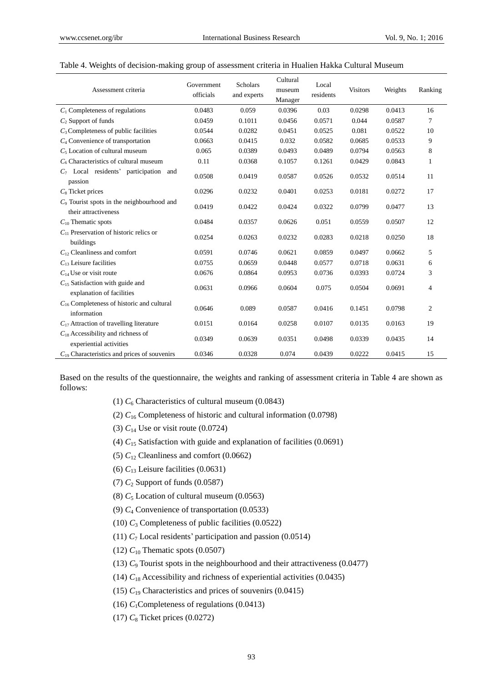| Assessment criteria                                                 | Government<br>officials | <b>Scholars</b><br>and experts | Cultural<br>museum<br>Manager | Local<br>residents | <b>Visitors</b> | Weights | Ranking |
|---------------------------------------------------------------------|-------------------------|--------------------------------|-------------------------------|--------------------|-----------------|---------|---------|
| $C_1$ Completeness of regulations                                   | 0.0483                  | 0.059                          | 0.0396                        | 0.03               | 0.0298          | 0.0413  | 16      |
| $C_2$ Support of funds                                              | 0.0459                  | 0.1011                         | 0.0456                        | 0.0571             | 0.044           | 0.0587  | 7       |
| $C_3$ Completeness of public facilities                             | 0.0544                  | 0.0282                         | 0.0451                        | 0.0525             | 0.081           | 0.0522  | 10      |
| $C_4$ Convenience of transportation                                 | 0.0663                  | 0.0415                         | 0.032                         | 0.0582             | 0.0685          | 0.0533  | 9       |
| $C5$ Location of cultural museum                                    | 0.065                   | 0.0389                         | 0.0493                        | 0.0489             | 0.0794          | 0.0563  | 8       |
| $C6$ Characteristics of cultural museum                             | 0.11                    | 0.0368                         | 0.1057                        | 0.1261             | 0.0429          | 0.0843  | 1       |
| $C_7$ Local residents' participation and<br>passion                 | 0.0508                  | 0.0419                         | 0.0587                        | 0.0526             | 0.0532          | 0.0514  | 11      |
| $C_8$ Ticket prices                                                 | 0.0296                  | 0.0232                         | 0.0401                        | 0.0253             | 0.0181          | 0.0272  | 17      |
| $C9$ Tourist spots in the neighbourhood and<br>their attractiveness | 0.0419                  | 0.0422                         | 0.0424                        | 0.0322             | 0.0799          | 0.0477  | 13      |
| $C_{10}$ Thematic spots                                             | 0.0484                  | 0.0357                         | 0.0626                        | 0.051              | 0.0559          | 0.0507  | 12      |
| $C_{11}$ Preservation of historic relics or<br>buildings            | 0.0254                  | 0.0263                         | 0.0232                        | 0.0283             | 0.0218          | 0.0250  | 18      |
| $C_{12}$ Cleanliness and comfort                                    | 0.0591                  | 0.0746                         | 0.0621                        | 0.0859             | 0.0497          | 0.0662  | 5       |
| $C_{13}$ Leisure facilities                                         | 0.0755                  | 0.0659                         | 0.0448                        | 0.0577             | 0.0718          | 0.0631  | 6       |
| $C_{14}$ Use or visit route                                         | 0.0676                  | 0.0864                         | 0.0953                        | 0.0736             | 0.0393          | 0.0724  | 3       |
| $C_{15}$ Satisfaction with guide and<br>explanation of facilities   | 0.0631                  | 0.0966                         | 0.0604                        | 0.075              | 0.0504          | 0.0691  | 4       |
| $C_{16}$ Completeness of historic and cultural<br>information       | 0.0646                  | 0.089                          | 0.0587                        | 0.0416             | 0.1451          | 0.0798  | 2       |
| $C_{17}$ Attraction of travelling literature                        | 0.0151                  | 0.0164                         | 0.0258                        | 0.0107             | 0.0135          | 0.0163  | 19      |
| $C_{18}$ Accessibility and richness of<br>experiential activities   | 0.0349                  | 0.0639                         | 0.0351                        | 0.0498             | 0.0339          | 0.0435  | 14      |
| $C_{19}$ Characteristics and prices of souvenirs                    | 0.0346                  | 0.0328                         | 0.074                         | 0.0439             | 0.0222          | 0.0415  | 15      |

## Table 4. Weights of decision-making group of assessment criteria in Hualien Hakka Cultural Museum

Based on the results of the questionnaire, the weights and ranking of assessment criteria in Table 4 are shown as follows:

- (1)  $C_6$  Characteristics of cultural museum (0.0843)
- (2)  $C_{16}$  Completeness of historic and cultural information (0.0798)
- (3)  $C_{14}$  Use or visit route (0.0724)
- (4) *C*<sup>15</sup> Satisfaction with guide and explanation of facilities (0.0691)
- (5)  $C_{12}$  Cleanliness and comfort (0.0662)
- (6)  $C_{13}$  Leisure facilities (0.0631)
- (7) *C*<sup>2</sup> Support of funds (0.0587)
- (8)  $C_5$  Location of cultural museum  $(0.0563)$
- (9) *C*<sup>4</sup> Convenience of transportation (0.0533)
- (10)  $C_3$  Completeness of public facilities (0.0522)
- (11) *C*<sup>7</sup> Local residents' participation and passion (0.0514)

(12) *C*<sup>10</sup> Thematic spots (0.0507)

- (13)  $C_9$  Tourist spots in the neighbourhood and their attractiveness (0.0477)
- (14)  $C_{18}$  Accessibility and richness of experiential activities (0.0435)
- (15)  $C_{19}$  Characteristics and prices of souvenirs (0.0415)
- (16) *C*1Completeness of regulations (0.0413)
- (17) *C*<sup>8</sup> Ticket prices (0.0272)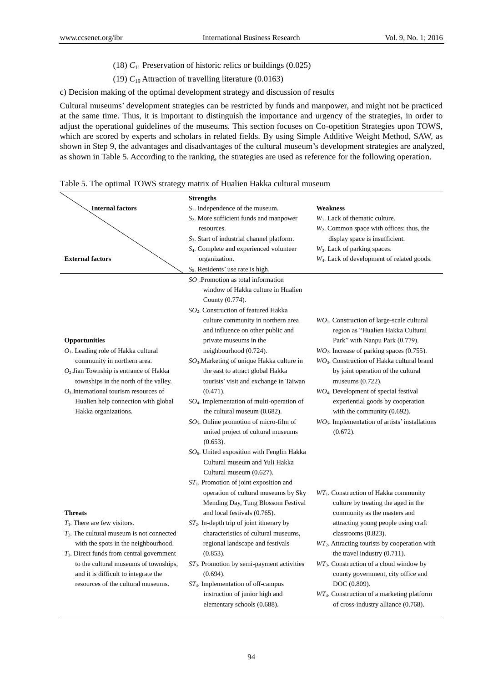$\overline{\phantom{0}}$ 

- (18) *C*<sup>11</sup> Preservation of historic relics or buildings (0.025)
- (19)  $C_{19}$  Attraction of travelling literature (0.0163)
- c) Decision making of the optimal development strategy and discussion of results

Cultural museums' development strategies can be restricted by funds and manpower, and might not be practiced at the same time. Thus, it is important to distinguish the importance and urgency of the strategies, in order to adjust the operational guidelines of the museums. This section focuses on Co-opetition Strategies upon TOWS, which are scored by experts and scholars in related fields. By using Simple Additive Weight Method, SAW, as shown in Step 9, the advantages and disadvantages of the cultural museum's development strategies are analyzed, as shown in Table 5. According to the ranking, the strategies are used as reference for the following operation.

|                                              | <b>Strengths</b>                                 |                                                        |  |  |  |  |
|----------------------------------------------|--------------------------------------------------|--------------------------------------------------------|--|--|--|--|
| <b>Internal factors</b>                      | $S_1$ . Independence of the museum.              | <b>Weakness</b>                                        |  |  |  |  |
|                                              | $S2$ . More sufficient funds and manpower        | $W_1$ . Lack of thematic culture.                      |  |  |  |  |
|                                              | resources.                                       | $W_2$ . Common space with offices: thus, the           |  |  |  |  |
|                                              | $S_3$ . Start of industrial channel platform.    | display space is insufficient.                         |  |  |  |  |
|                                              | $S4$ . Complete and experienced volunteer        | $W_3$ . Lack of parking spaces.                        |  |  |  |  |
| <b>External factors</b>                      | organization.                                    | W <sub>4</sub> . Lack of development of related goods. |  |  |  |  |
|                                              | $S_5$ . Residents' use rate is high.             |                                                        |  |  |  |  |
|                                              | $SO1$ . Promotion as total information           |                                                        |  |  |  |  |
|                                              | window of Hakka culture in Hualien               |                                                        |  |  |  |  |
|                                              | County (0.774).                                  |                                                        |  |  |  |  |
|                                              | SO <sub>2</sub> . Construction of featured Hakka |                                                        |  |  |  |  |
|                                              | culture community in northern area               | $WO1$ . Construction of large-scale cultural           |  |  |  |  |
|                                              | and influence on other public and                | region as "Hualien Hakka Cultural                      |  |  |  |  |
| Opportunities                                | private museums in the                           | Park" with Nanpu Park (0.779).                         |  |  |  |  |
| $O1$ . Leading role of Hakka cultural        | neighbourhood (0.724).                           | $WO2$ . Increase of parking spaces (0.755).            |  |  |  |  |
| community in northern area.                  | $SO3$ . Marketing of unique Hakka culture in     | WO <sub>3</sub> . Construction of Hakka cultural brand |  |  |  |  |
| $O_2$ Jian Township is entrance of Hakka     | the east to attract global Hakka                 | by joint operation of the cultural                     |  |  |  |  |
| townships in the north of the valley.        | tourists' visit and exchange in Taiwan           | museums $(0.722)$ .                                    |  |  |  |  |
| $O_3$ . International tourism resources of   | $(0.471)$ .                                      | $WO4$ . Development of special festival                |  |  |  |  |
| Hualien help connection with global          | $SO4$ . Implementation of multi-operation of     | experiential goods by cooperation                      |  |  |  |  |
| Hakka organizations.                         | the cultural museum (0.682).                     | with the community $(0.692)$ .                         |  |  |  |  |
|                                              | $SO_5$ . Online promotion of micro-film of       | $WO5$ . Implementation of artists' installations       |  |  |  |  |
|                                              | united project of cultural museums               | $(0.672)$ .                                            |  |  |  |  |
|                                              | $(0.653)$ .                                      |                                                        |  |  |  |  |
|                                              | $SO_6$ . United exposition with Fenglin Hakka    |                                                        |  |  |  |  |
|                                              | Cultural museum and Yuli Hakka                   |                                                        |  |  |  |  |
|                                              | Cultural museum (0.627).                         |                                                        |  |  |  |  |
|                                              | $ST1$ . Promotion of joint exposition and        |                                                        |  |  |  |  |
|                                              | operation of cultural museums by Sky             | $WT1$ . Construction of Hakka community                |  |  |  |  |
|                                              | Mending Day, Tung Blossom Festival               | culture by treating the aged in the                    |  |  |  |  |
| <b>Threats</b>                               | and local festivals (0.765).                     | community as the masters and                           |  |  |  |  |
| $T_1$ . There are few visitors.              | $ST2$ . In-depth trip of joint itinerary by      | attracting young people using craft                    |  |  |  |  |
| $T_2$ . The cultural museum is not connected | characteristics of cultural museums.             | classrooms $(0.823)$ .                                 |  |  |  |  |
| with the spots in the neighbourhood.         | regional landscape and festivals                 | $WT2$ . Attracting tourists by cooperation with        |  |  |  |  |
| $T_3$ . Direct funds from central government | $(0.853)$ .                                      | the travel industry $(0.711)$ .                        |  |  |  |  |
| to the cultural museums of townships,        | $ST_3$ . Promotion by semi-payment activities    | $WT3$ . Construction of a cloud window by              |  |  |  |  |
| and it is difficult to integrate the         | $(0.694)$ .                                      | county government, city office and                     |  |  |  |  |
| resources of the cultural museums.           | $ST4$ . Implementation of off-campus             | DOC (0.809).                                           |  |  |  |  |
|                                              | instruction of junior high and                   | $WT4$ . Construction of a marketing platform           |  |  |  |  |
|                                              | elementary schools (0.688).                      | of cross-industry alliance (0.768).                    |  |  |  |  |
|                                              |                                                  |                                                        |  |  |  |  |
|                                              |                                                  |                                                        |  |  |  |  |

Table 5. The optimal TOWS strategy matrix of Hualien Hakka cultural museum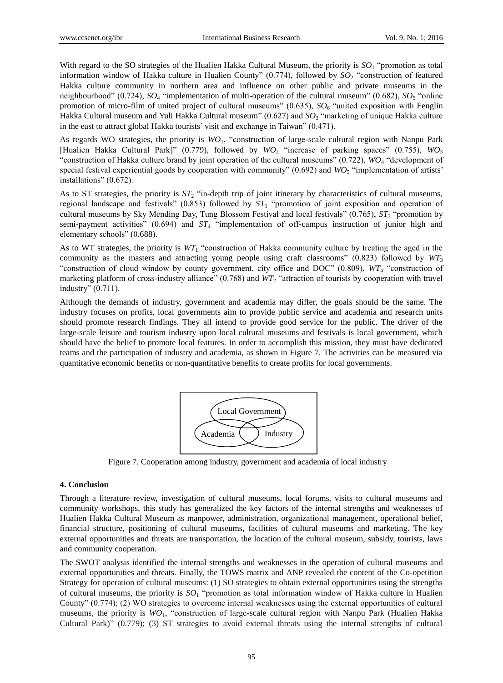With regard to the SO strategies of the Hualien Hakka Cultural Museum, the priority is  $SO_1$  "promotion as total information window of Hakka culture in Hualien County" (0.774), followed by *SO*<sup>2</sup> "construction of featured Hakka culture community in northern area and influence on other public and private museums in the neighbourhood" (0.724), *SO*<sub>4</sub> "implementation of multi-operation of the cultural museum" (0.682), *SO*<sub>5</sub> "online promotion of micro-film of united project of cultural museums" (0.635), *SO*<sup>6</sup> "united exposition with Fenglin Hakka Cultural museum and Yuli Hakka Cultural museum" (0.627) and *SO*<sup>3</sup> "marketing of unique Hakka culture in the east to attract global Hakka tourists' visit and exchange in Taiwan" (0.471).

As regards WO strategies, the priority is  $WO<sub>1</sub>$ , "construction of large-scale cultural region with Nanpu Park [Hualien Hakka Cultural Park]" (0.779), followed by *WO*<sub>2</sub> "increase of parking spaces" (0.755), *WO*<sub>3</sub> "construction of Hakka culture brand by joint operation of the cultural museums" (0.722), *WO*<sup>4</sup> "development of special festival experiential goods by cooperation with community" ( $0.692$ ) and  $WO<sub>5</sub>$  "implementation of artists" installations" (0.672).

As to ST strategies, the priority is  $ST_2$  "in-depth trip of joint itinerary by characteristics of cultural museums, regional landscape and festivals" (0.853) followed by *ST*<sup>1</sup> "promotion of joint exposition and operation of cultural museums by Sky Mending Day, Tung Blossom Festival and local festivals" (0.765), *ST*<sup>3</sup> "promotion by semi-payment activities" (0.694) and *ST*<sub>4</sub> "implementation of off-campus instruction of junior high and elementary schools" (0.688).

As to WT strategies, the priority is *WT*<sup>1</sup> "construction of Hakka community culture by treating the aged in the community as the masters and attracting young people using craft classrooms" (0.823) followed by *WT*<sup>3</sup> "construction of cloud window by county government, city office and DOC" (0.809), *WT*<sup>4</sup> "construction of marketing platform of cross-industry alliance" (0.768) and *WT*<sub>2</sub> "attraction of tourists by cooperation with travel industry" (0.711).

Although the demands of industry, government and academia may differ, the goals should be the same. The industry focuses on profits, local governments aim to provide public service and academia and research units should promote research findings. They all intend to provide good service for the public. The driver of the large-scale leisure and tourism industry upon local cultural museums and festivals is local government, which should have the belief to promote local features. In order to accomplish this mission, they must have dedicated teams and the participation of industry and academia, as shown in Figure 7. The activities can be measured via quantitative economic benefits or non-quantitative benefits to create profits for local governments.



Figure 7. Cooperation among industry, government and academia of local industry

## **4. Conclusion**

Through a literature review, investigation of cultural museums, local forums, visits to cultural museums and community workshops, this study has generalized the key factors of the internal strengths and weaknesses of Hualien Hakka Cultural Museum as manpower, administration, organizational management, operational belief, financial structure, positioning of cultural museums, facilities of cultural museums and marketing. The key external opportunities and threats are transportation, the location of the cultural museum, subsidy, tourists, laws and community cooperation.

The SWOT analysis identified the internal strengths and weaknesses in the operation of cultural museums and external opportunities and threats. Finally, the TOWS matrix and ANP revealed the content of the Co-opetition Strategy for operation of cultural museums: (1) SO strategies to obtain external opportunities using the strengths of cultural museums, the priority is *SO*<sup>1</sup> "promotion as total information window of Hakka culture in Hualien County" (0.774); (2) WO strategies to overcome internal weaknesses using the external opportunities of cultural museums, the priority is *WO*1, "construction of large-scale cultural region with Nanpu Park (Hualien Hakka Cultural Park)" (0.779); (3) ST strategies to avoid external threats using the internal strengths of cultural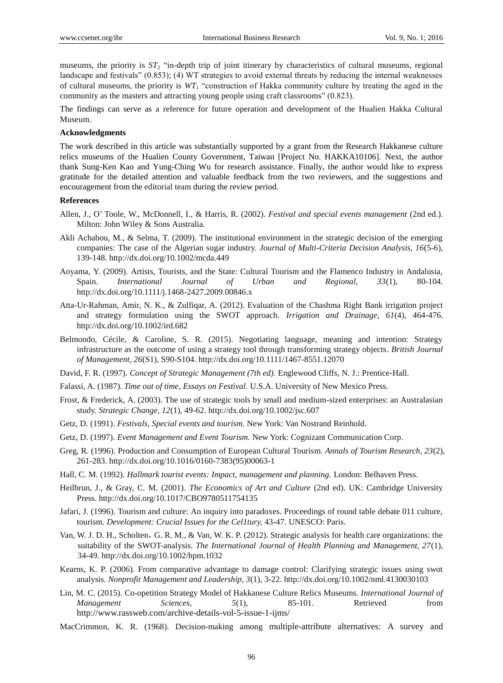museums, the priority is *ST*<sub>2</sub> "in-depth trip of joint itinerary by characteristics of cultural museums, regional landscape and festivals" (0.853); (4) WT strategies to avoid external threats by reducing the internal weaknesses of cultural museums, the priority is *WT*<sup>1</sup> "construction of Hakka community culture by treating the aged in the community as the masters and attracting young people using craft classrooms" (0.823).

The findings can serve as a reference for future operation and development of the Hualien Hakka Cultural Museum.

## **Acknowledgments**

The work described in this article was substantially supported by a grant from the Research Hakkanese culture relics museums of the Hualien County Government, Taiwan [Project No. HAKKA10106]. Next, the author thank Sung-Ken Kao and Yung-Ching Wu for research assistance. Finally, the author would like to express gratitude for the detailed attention and valuable feedback from the two reviewers, and the suggestions and encouragement from the editorial team during the review period.

## **References**

- Allen, J., O' Toole, W., McDonnell, I., & Harris, R. (2002). *Festival and special events management* (2nd ed.). Milton: John Wiley & Sons Australia.
- Akli Achabou, M., & Selma, T. (2009). The institutional environment in the strategic decision of the emerging companies: The case of the Algerian sugar industry. *Journal of Multi-Criteria Decision Analysis, 16*(5-6), 139-148. <http://dx.doi.org/10.1002/mcda.449>
- Aoyama, Y. (2009). Artists, Tourists, and the State: Cultural Tourism and the Flamenco Industry in Andalusia, Spain. *International Journal of Urban and Regional, 33*(1), 80-104. <http://dx.doi.org/10.1111/j.1468-2427.2009.00846.x>
- Atta-Ur-Rahman, Amir, N. K., & Zulfiqar, A. (2012). Evaluation of the Chashma Right Bank irrigation project and strategy formulation using the SWOT approach. *Irrigation and Drainage, 61*(4), 464-476. <http://dx.doi.org/10.1002/ird.682>
- Belmondo, Cécile, & Caroline, S. R. (2015). Negotiating language, meaning and intention: Strategy infrastructure as the outcome of using a strategy tool through transforming strategy objects. *British Journal of Management, 26*(S1), S90-S104. <http://dx.doi.org/10.1111/1467-8551.12070>
- David, F. R. (1997). *Concept of Strategic Management (7th ed).* Englewood Cliffs, N. J.: Prentice-Hall.
- Falassi, A. (1987). *Time out of time, Essays on Festival.* U.S.A. University of New Mexico Press.
- Frost, & Frederick, A. (2003). The use of strategic tools by small and medium-sized enterprises: an Australasian study. *Strategic Change, 12*(1), 49-62. <http://dx.doi.org/10.1002/jsc.607>
- Getz, D. (1991). *Festivals, Special events and tourism.* New York: Van Nostrand Reinhold.
- Getz, D. (1997). *Event Management and Event Tourism.* New York: Cognizant Communication Corp.
- Greg, R. (1996). Production and Consumption of European Cultural Tourism. *Annals of Tourism Research, 23*(2), 261-283. [http://dx.doi.org/10.1016/0160-7383\(95\)00063-1](http://dx.doi.org/10.1016/0160-7383(95)00063-1)
- Hall, C. M. (1992). *Hallmark tourist events: Impact, management and planning.* London: Belhaven Press.
- Heilbrun, J., & Gray, C. M. (2001). *The Economics of Art and Culture* (2nd ed). UK: Cambridge University Press. <http://dx.doi.org/10.1017/CBO9780511754135>
- Jafari, J. (1996). Tourism and culture: An inquiry into paradoxes. Proceedings of round table debate 011 culture, tourism. *Development: Crucial Issues for the Cel1tury,* 43-47. UNESCO: Paris.
- [Van,](http://xueshu.baidu.com/s?wd=author%3A%28van%20Wijngaarden%20Jeroen%20D.%20H.%29%20&tn=SE_baiduxueshu_c1gjeupa&ie=utf-8&sc_f_para=sc_hilight%3Dperson) W. J. D. H.[, Scholten](http://xueshu.baidu.com/s?wd=author%3A%28Scholten%20Gerard%20R.%20M.%29%20&tn=SE_baiduxueshu_c1gjeupa&ie=utf-8&sc_f_para=sc_hilight%3Dperson), G. R. M., & [Van,](http://xueshu.baidu.com/s?wd=author%3A%28van%20Wijk%20Kees%20P.%29%20&tn=SE_baiduxueshu_c1gjeupa&ie=utf-8&sc_f_para=sc_hilight%3Dperson) W. K. P. (2012). Strategic analysis for health care organizations: the suitability of the SWOT-analysis. *The International Journal of Health Planning and Management, 27*(1), 34-49.<http://dx.doi.org/10.1002/hpm.1032>
- Kearns, K. P. (2006). From comparative advantage to damage control: Clarifying strategic issues using swot analysis. *Nonprofit Management and Leadership, 3*(1), 3-22. <http://dx.doi.org/10.1002/nml.4130030103>
- Lin, M. C. (2015). Co-opetition Strategy Model of Hakkanese Culture Relics Museums. *International Journal of Management Sciences,* 5(1), 85-101. Retrieved from <http://www.rassweb.com/archive-details-vol-5-issue-1-ijms/>
- MacCrimmon, K. R. (1968). Decision-making among multiple-attribute alternatives: A survey and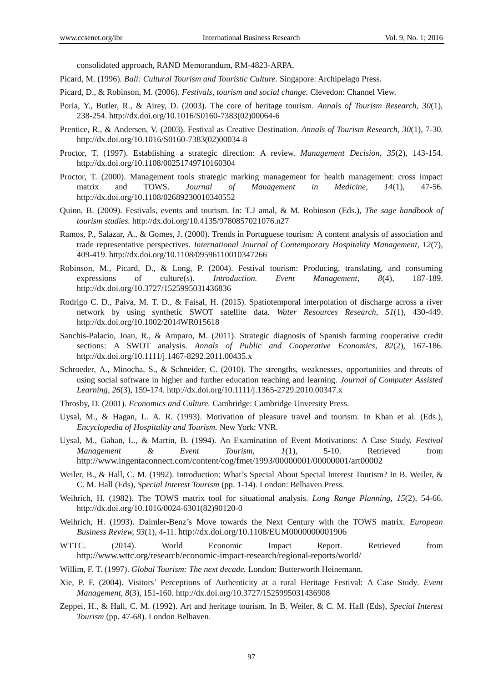consolidated approach, RAND Memorandum, RM-4823-ARPA.

- Picard, M. (1996). *Bali: Cultural Tourism and Touristic Culture.* Singapore: Archipelago Press.
- Picard, D., & Robinson, M. (2006). *Festivals, tourism and social change.* Clevedon: Channel View.
- Poria, Y., Butler, R., & Airey, D. (2003). The core of heritage tourism. *Annals of Tourism Research, 30*(1), 238-254. [http://dx.doi.org/10.1016/S0160-7383\(02\)00064-6](http://dx.doi.org/10.1016/S0160-7383(02)00064-6)
- Prentice, R., & Andersen, V. (2003). Festival as Creative Destination. *Annals of Tourism Research, 30*(1), 7-30. [http://dx.doi.org/10.1016/S0160-7383\(02\)00034-8](http://dx.doi.org/10.1016/S0160-7383(02)00034-8)
- Proctor, T. (1997). Establishing a strategic direction: A review. *Management Decision, 35*(2), 143-154. <http://dx.doi.org/10.1108/00251749710160304>
- Proctor, T. (2000). Management tools strategic marking management for health management: cross impact matrix and TOWS. *Journal of Management in Medicine, 14*(1), 47-56. <http://dx.doi.org/10.1108/02689230010340552>
- Quinn, B. (2009). Festivals, events and tourism. In: T.J amal, & M. Robinson (Eds.), *The sage handbook of tourism studies.* <http://dx.doi.org/10.4135/9780857021076.n27>
- Ramos, P., Salazar, A., & Gomes, J. (2000). Trends in Portuguese tourism: A content analysis of association and trade representative perspectives. *International Journal of Contemporary Hospitality Management, 12*(7), 409-419. <http://dx.doi.org/10.1108/09596110010347266>
- Robinson, M., Picard, D., & Long, P. (2004). Festival tourism: Producing, translating, and consuming expressions of culture(s). *Introduction. Event Management, 8*(4), 187-189. <http://dx.doi.org/10.3727/1525995031436836>
- Rodrigo C. D., Paiva, M. T. D., & Faisal, H. (2015). Spatiotemporal interpolation of discharge across a river network by using synthetic SWOT satellite data. *Water Resources Research, 51*(1), 430-449. <http://dx.doi.org/10.1002/2014WR015618>
- Sanchis-Palacio, Joan, R., & Amparo, M. (2011). Strategic diagnosis of Spanish farming cooperative credit sections: A SWOT analysis. *Annals of Public and Cooperative Economics, 82*(2), 167-186. <http://dx.doi.org/10.1111/j.1467-8292.2011.00435.x>
- Schroeder, A., Minocha, S., & Schneider, C. (2010). The strengths, weaknesses, opportunities and threats of using social software in higher and further education teaching and learning. *Journal of Computer Assisted Learning, 26*(3), 159-174. <http://dx.doi.org/10.1111/j.1365-2729.2010.00347.x>
- Throsby, D. (2001). *Economics and Culture.* Cambridge: Cambridge Unversity Press.
- Uysal, M., & Hagan, L. A. R. (1993). Motivation of pleasure travel and tourism. In Khan et al. (Eds.), *Encyclopedia of Hospitality and Tourism.* New York: VNR.
- Uysal, M., Gahan, L., & Martin, B. (1994). An Examination of Event Motivations: A Case Study. *Festival Management & Event Tourism, 1*(1), 5-10. Retrieved from <http://www.ingentaconnect.com/content/cog/fmet/1993/00000001/00000001/art00002>
- Weiler, B., & Hall, C. M. (1992). Introduction: What's Special About Special Interest Tourism? In B. Weiler, & C. M. Hall (Eds), *Special Interest Tourism* (pp. 1-14)*.* London: Belhaven Press.
- Weihrich, H. (1982). The TOWS matrix tool for situational analysis. *Long Range Planning, 15*(2), 54-66. [http://dx.doi.org/10.1016/0024-6301\(82\)90120-0](http://dx.doi.org/10.1016/0024-6301(82)90120-0)
- Weihrich, H. (1993). Daimler-Benz's Move towards the Next Century with the TOWS matrix. *European Business Review, 93*(1), 4-11. <http://dx.doi.org/10.1108/EUM0000000001906>
- WTTC. (2014). World Economic Impact Report. Retrieved from <http://www.wttc.org/research/economic-impact-research/regional-reports/world/>
- Willim, F. T. (1997). *Global Tourism: The next decade.* London: Butterworth Heinemann.
- Xie, P. F. (2004). Visitors' Perceptions of Authenticity at a rural Heritage Festival: A Case Study. *Event Management, 8*(3), 151-160. <http://dx.doi.org/10.3727/1525995031436908>
- Zeppei, H., & Hall, C. M. (1992). Art and heritage tourism. In B. Weiler, & C. M. Hall (Eds), *Special Interest Tourism* (pp. 47-68)*.* London Belhaven.